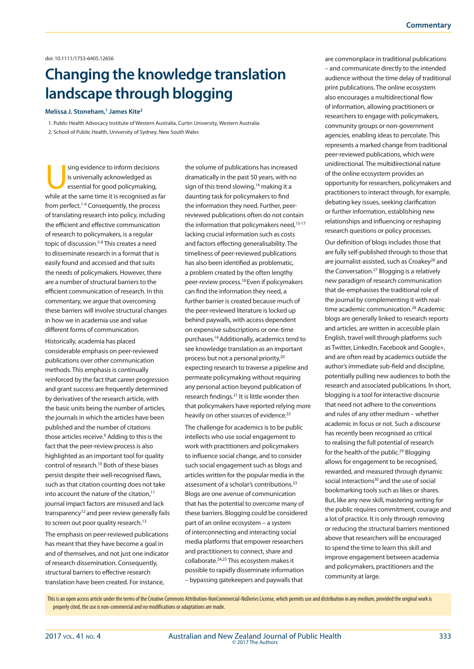## doi: 10.1111/1753-6405.12656

## **Changing the knowledge translation landscape through blogging**

## **Melissa J. Stoneham,1 James Kite2**

1. Public Health Advocacy Institute of Western Australia, Curtin University, Western Australia 2. School of Public Health, University of Sydney, New South Wales

sing evidence to inform decisions<br>is universally acknowledged as<br>essential for good policymaking, is universally acknowledged as essential for good policymaking, while at the same time it is recognised as far from perfect.<sup>1-4</sup> Consequently, the process of translating research into policy, including the efficient and effective communication of research to policymakers, is a regular topic of discussion.5-8 This creates a need to disseminate research in a format that is easily found and accessed and that suits the needs of policymakers. However, there are a number of structural barriers to the efficient communication of research. In this commentary, we argue that overcoming these barriers will involve structural changes in how we in academia use and value different forms of communication.

Historically, academia has placed considerable emphasis on peer-reviewed publications over other communication methods. This emphasis is continually reinforced by the fact that career progression and grant success are frequently determined by derivatives of the research article, with the basic units being the number of articles, the journals in which the articles have been published and the number of citations those articles receive.9 Adding to this is the fact that the peer-review process is also highlighted as an important tool for quality control of research.10 Both of these biases persist despite their well-recognised flaws, such as that citation counting does not take into account the nature of the citation,<sup>11</sup> journal impact factors are misused and lack transparency<sup>12</sup> and peer review generally fails to screen out poor quality research.<sup>13</sup>

The emphasis on peer-reviewed publications has meant that they have become a goal in and of themselves, and not just one indicator of research dissemination. Consequently, structural barriers to effective research translation have been created. For instance,

the volume of publications has increased dramatically in the past 50 years, with no sign of this trend slowing,<sup>14</sup> making it a daunting task for policymakers to find the information they need. Further, peerreviewed publications often do not contain the information that policymakers need,<sup>15-17</sup> lacking crucial information such as costs and factors effecting generalisability. The timeliness of peer-reviewed publications has also been identified as problematic, a problem created by the often lengthy peer-review process.18 Even if policymakers can find the information they need, a further barrier is created because much of the peer-reviewed literature is locked up behind paywalls, with access dependent on expensive subscriptions or one-time purchases.19 Additionally, academics tend to see knowledge translation as an important process but not a personal priority,<sup>20</sup> expecting research to traverse a pipeline and permeate policymaking without requiring any personal action beyond publication of research findings.21 It is little wonder then that policymakers have reported relying more heavily on other sources of evidence.<sup>22</sup>

The challenge for academics is to be public intellects who use social engagement to work with practitioners and policymakers to influence social change, and to consider such social engagement such as blogs and articles written for the popular media in the assessment of a scholar's contributions.23 Blogs are one avenue of communication that has the potential to overcome many of these barriers. Blogging could be considered part of an online ecosystem – a system of interconnecting and interacting social media platforms that empower researchers and practitioners to connect, share and collaborate.24,25 This ecosystem makes it possible to rapidly disseminate information – bypassing gatekeepers and paywalls that

are commonplace in traditional publications – and communicate directly to the intended audience without the time delay of traditional print publications. The online ecosystem also encourages a multidirectional flow of information, allowing practitioners or researchers to engage with policymakers, community groups or non-government agencies, enabling ideas to percolate. This represents a marked change from traditional peer-reviewed publications, which were unidirectional. The multidirectional nature of the online ecosystem provides an opportunity for researchers, policymakers and practitioners to interact through, for example, debating key issues, seeking clarification or further information, establishing new relationships and influencing or reshaping research questions or policy processes.

Our definition of blogs includes those that are fully self-published through to those that are journalist-assisted, such as Croakey<sup>26</sup> and the Conversation.<sup>27</sup> Blogging is a relatively new paradigm of research communication that de-emphasises the traditional role of the journal by complementing it with realtime academic communication.<sup>28</sup> Academic blogs are generally linked to research reports and articles, are written in accessible plain English, travel well through platforms such as Twitter, LinkedIn, Facebook and Google+, and are often read by academics outside the author's immediate sub-field and discipline, potentially pulling new audiences to both the research and associated publications. In short, blogging is a tool for interactive discourse that need not adhere to the conventions and rules of any other medium – whether academic in focus or not. Such a discourse has recently been recognised as critical to realising the full potential of research for the health of the public.<sup>29</sup> Blogging allows for engagement to be recognised, rewarded, and measured through dynamic social interactions<sup>30</sup> and the use of social bookmarking tools such as likes or shares. But, like any new skill, mastering writing for the public requires commitment, courage and a lot of practice. It is only through removing or reducing the structural barriers mentioned above that researchers will be encouraged to spend the time to learn this skill and improve engagement between academia and policymakers, practitioners and the community at large.

This is an open access article under the terms of the Creative Commons Attribution-NonCommercial-NoDerivs License, which permits use and distribution in any medium, provided the original work is properly cited, the use is non-commercial and no modifications or adaptations are made.